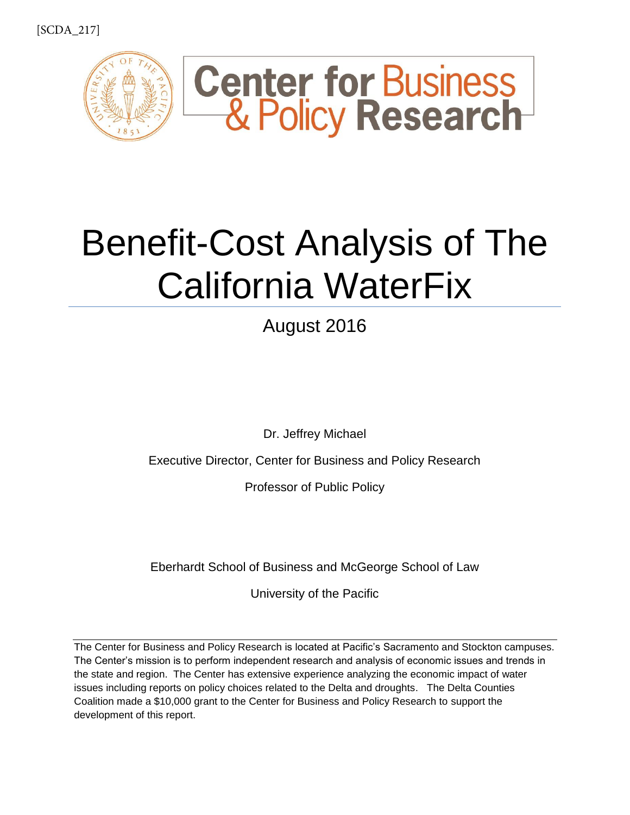

# Benefit-Cost Analysis of The California WaterFix

August 2016

Dr. Jeffrey Michael

Executive Director, Center for Business and Policy Research

Professor of Public Policy

Eberhardt School of Business and McGeorge School of Law

University of the Pacific

The Center for Business and Policy Research is located at Pacific's Sacramento and Stockton campuses. The Center's mission is to perform independent research and analysis of economic issues and trends in the state and region. The Center has extensive experience analyzing the economic impact of water issues including reports on policy choices related to the Delta and droughts. The Delta Counties Coalition made a \$10,000 grant to the Center for Business and Policy Research to support the development of this report.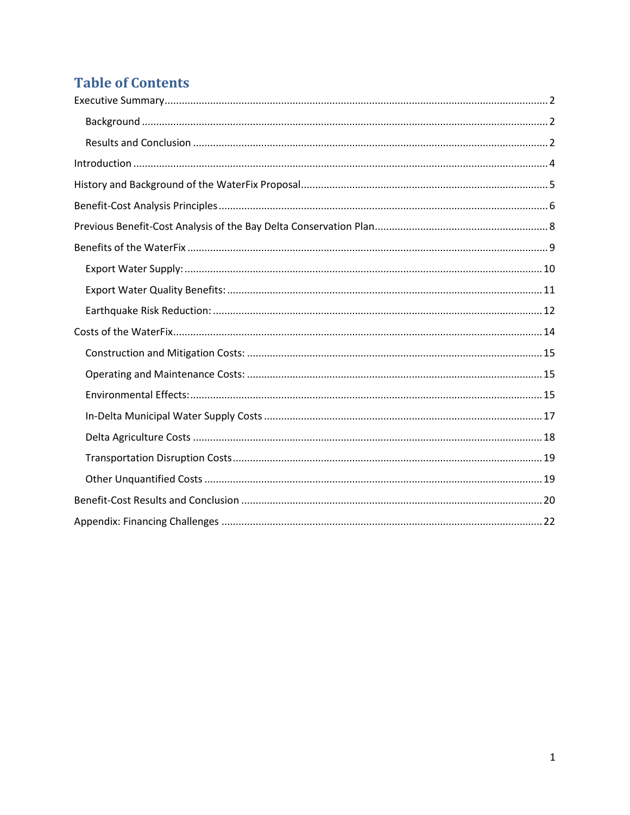## **Table of Contents**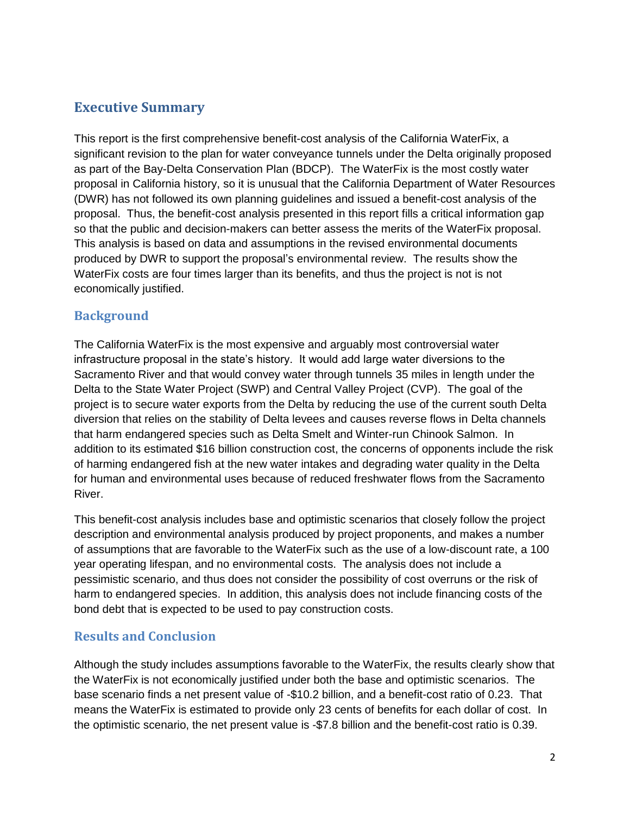## <span id="page-2-0"></span>**Executive Summary**

This report is the first comprehensive benefit-cost analysis of the California WaterFix, a significant revision to the plan for water conveyance tunnels under the Delta originally proposed as part of the Bay-Delta Conservation Plan (BDCP). The WaterFix is the most costly water proposal in California history, so it is unusual that the California Department of Water Resources (DWR) has not followed its own planning guidelines and issued a benefit-cost analysis of the proposal. Thus, the benefit-cost analysis presented in this report fills a critical information gap so that the public and decision-makers can better assess the merits of the WaterFix proposal. This analysis is based on data and assumptions in the revised environmental documents produced by DWR to support the proposal's environmental review. The results show the WaterFix costs are four times larger than its benefits, and thus the project is not is not economically justified.

#### <span id="page-2-1"></span>**Background**

The California WaterFix is the most expensive and arguably most controversial water infrastructure proposal in the state's history. It would add large water diversions to the Sacramento River and that would convey water through tunnels 35 miles in length under the Delta to the State Water Project (SWP) and Central Valley Project (CVP). The goal of the project is to secure water exports from the Delta by reducing the use of the current south Delta diversion that relies on the stability of Delta levees and causes reverse flows in Delta channels that harm endangered species such as Delta Smelt and Winter-run Chinook Salmon. In addition to its estimated \$16 billion construction cost, the concerns of opponents include the risk of harming endangered fish at the new water intakes and degrading water quality in the Delta for human and environmental uses because of reduced freshwater flows from the Sacramento River.

This benefit-cost analysis includes base and optimistic scenarios that closely follow the project description and environmental analysis produced by project proponents, and makes a number of assumptions that are favorable to the WaterFix such as the use of a low-discount rate, a 100 year operating lifespan, and no environmental costs. The analysis does not include a pessimistic scenario, and thus does not consider the possibility of cost overruns or the risk of harm to endangered species. In addition, this analysis does not include financing costs of the bond debt that is expected to be used to pay construction costs.

### <span id="page-2-2"></span>**Results and Conclusion**

Although the study includes assumptions favorable to the WaterFix, the results clearly show that the WaterFix is not economically justified under both the base and optimistic scenarios. The base scenario finds a net present value of -\$10.2 billion, and a benefit-cost ratio of 0.23. That means the WaterFix is estimated to provide only 23 cents of benefits for each dollar of cost. In the optimistic scenario, the net present value is -\$7.8 billion and the benefit-cost ratio is 0.39.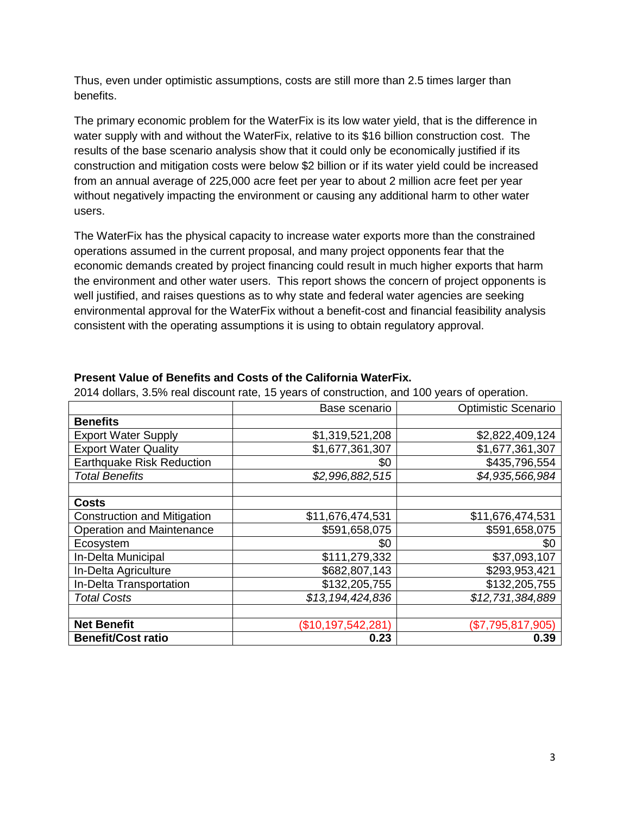Thus, even under optimistic assumptions, costs are still more than 2.5 times larger than benefits.

The primary economic problem for the WaterFix is its low water yield, that is the difference in water supply with and without the WaterFix, relative to its \$16 billion construction cost. The results of the base scenario analysis show that it could only be economically justified if its construction and mitigation costs were below \$2 billion or if its water yield could be increased from an annual average of 225,000 acre feet per year to about 2 million acre feet per year without negatively impacting the environment or causing any additional harm to other water users.

The WaterFix has the physical capacity to increase water exports more than the constrained operations assumed in the current proposal, and many project opponents fear that the economic demands created by project financing could result in much higher exports that harm the environment and other water users. This report shows the concern of project opponents is well justified, and raises questions as to why state and federal water agencies are seeking environmental approval for the WaterFix without a benefit-cost and financial feasibility analysis consistent with the operating assumptions it is using to obtain regulatory approval.

|                                    | Base scenario      | Optimistic Scenario |
|------------------------------------|--------------------|---------------------|
| <b>Benefits</b>                    |                    |                     |
| <b>Export Water Supply</b>         | \$1,319,521,208    | \$2,822,409,124     |
| <b>Export Water Quality</b>        | \$1,677,361,307    | \$1,677,361,307     |
| <b>Earthquake Risk Reduction</b>   | \$0                | \$435,796,554       |
| <b>Total Benefits</b>              | \$2,996,882,515    | \$4,935,566,984     |
|                                    |                    |                     |
| <b>Costs</b>                       |                    |                     |
| <b>Construction and Mitigation</b> | \$11,676,474,531   | \$11,676,474,531    |
| <b>Operation and Maintenance</b>   | \$591,658,075      | \$591,658,075       |
| Ecosystem                          | \$0                | \$0                 |
| In-Delta Municipal                 | \$111,279,332      | \$37,093,107        |
| In-Delta Agriculture               | \$682,807,143      | \$293,953,421       |
| In-Delta Transportation            | \$132,205,755      | \$132,205,755       |
| <b>Total Costs</b>                 | \$13,194,424,836   | \$12,731,384,889    |
|                                    |                    |                     |
| <b>Net Benefit</b>                 | (\$10,197,542,281) | (\$7,795,817,905)   |
| <b>Benefit/Cost ratio</b>          | 0.23               | 0.39                |

#### **Present Value of Benefits and Costs of the California WaterFix.**

2014 dollars, 3.5% real discount rate, 15 years of construction, and 100 years of operation.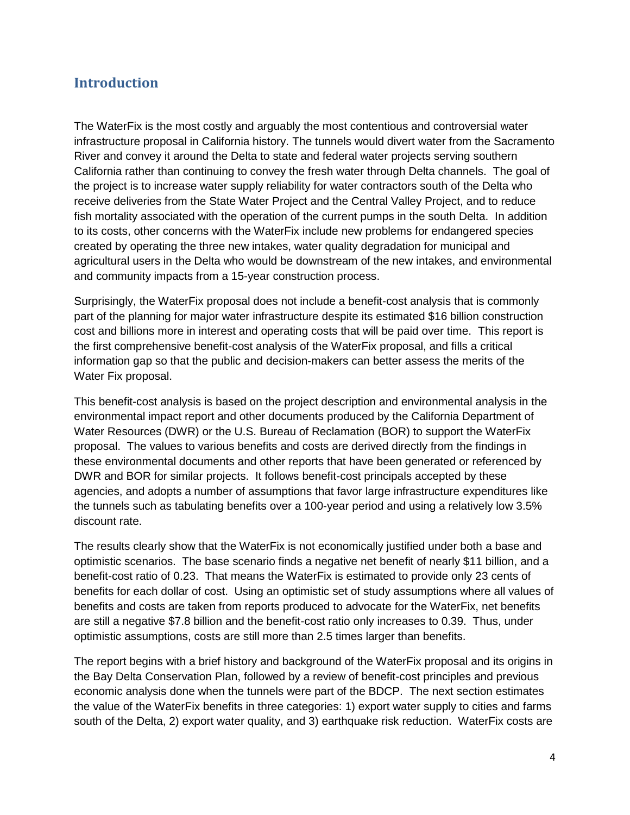### <span id="page-4-0"></span>**Introduction**

The WaterFix is the most costly and arguably the most contentious and controversial water infrastructure proposal in California history. The tunnels would divert water from the Sacramento River and convey it around the Delta to state and federal water projects serving southern California rather than continuing to convey the fresh water through Delta channels. The goal of the project is to increase water supply reliability for water contractors south of the Delta who receive deliveries from the State Water Project and the Central Valley Project, and to reduce fish mortality associated with the operation of the current pumps in the south Delta. In addition to its costs, other concerns with the WaterFix include new problems for endangered species created by operating the three new intakes, water quality degradation for municipal and agricultural users in the Delta who would be downstream of the new intakes, and environmental and community impacts from a 15-year construction process.

Surprisingly, the WaterFix proposal does not include a benefit-cost analysis that is commonly part of the planning for major water infrastructure despite its estimated \$16 billion construction cost and billions more in interest and operating costs that will be paid over time. This report is the first comprehensive benefit-cost analysis of the WaterFix proposal, and fills a critical information gap so that the public and decision-makers can better assess the merits of the Water Fix proposal.

This benefit-cost analysis is based on the project description and environmental analysis in the environmental impact report and other documents produced by the California Department of Water Resources (DWR) or the U.S. Bureau of Reclamation (BOR) to support the WaterFix proposal. The values to various benefits and costs are derived directly from the findings in these environmental documents and other reports that have been generated or referenced by DWR and BOR for similar projects. It follows benefit-cost principals accepted by these agencies, and adopts a number of assumptions that favor large infrastructure expenditures like the tunnels such as tabulating benefits over a 100-year period and using a relatively low 3.5% discount rate.

The results clearly show that the WaterFix is not economically justified under both a base and optimistic scenarios. The base scenario finds a negative net benefit of nearly \$11 billion, and a benefit-cost ratio of 0.23. That means the WaterFix is estimated to provide only 23 cents of benefits for each dollar of cost. Using an optimistic set of study assumptions where all values of benefits and costs are taken from reports produced to advocate for the WaterFix, net benefits are still a negative \$7.8 billion and the benefit-cost ratio only increases to 0.39. Thus, under optimistic assumptions, costs are still more than 2.5 times larger than benefits.

The report begins with a brief history and background of the WaterFix proposal and its origins in the Bay Delta Conservation Plan, followed by a review of benefit-cost principles and previous economic analysis done when the tunnels were part of the BDCP. The next section estimates the value of the WaterFix benefits in three categories: 1) export water supply to cities and farms south of the Delta, 2) export water quality, and 3) earthquake risk reduction. WaterFix costs are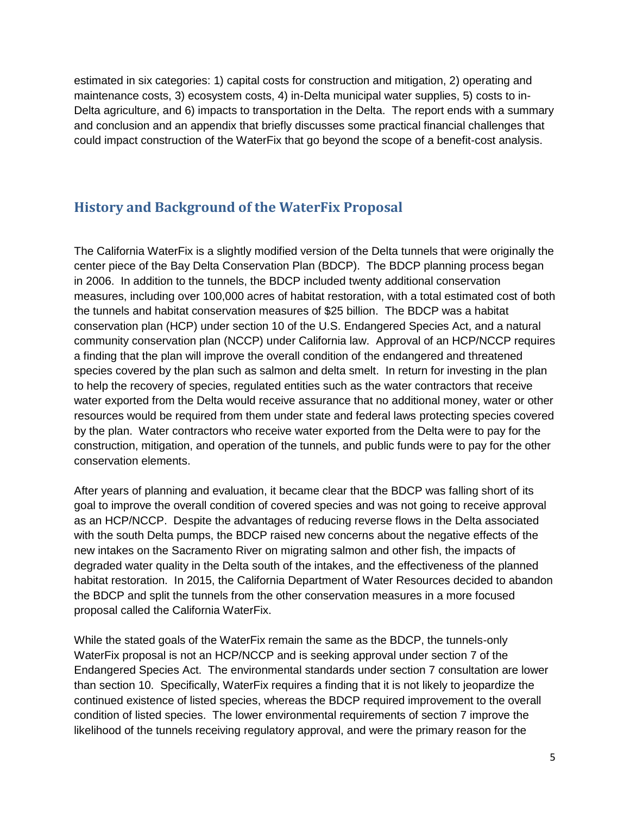estimated in six categories: 1) capital costs for construction and mitigation, 2) operating and maintenance costs, 3) ecosystem costs, 4) in-Delta municipal water supplies, 5) costs to in-Delta agriculture, and 6) impacts to transportation in the Delta. The report ends with a summary and conclusion and an appendix that briefly discusses some practical financial challenges that could impact construction of the WaterFix that go beyond the scope of a benefit-cost analysis.

## <span id="page-5-0"></span>**History and Background of the WaterFix Proposal**

The California WaterFix is a slightly modified version of the Delta tunnels that were originally the center piece of the Bay Delta Conservation Plan (BDCP). The BDCP planning process began in 2006. In addition to the tunnels, the BDCP included twenty additional conservation measures, including over 100,000 acres of habitat restoration, with a total estimated cost of both the tunnels and habitat conservation measures of \$25 billion. The BDCP was a habitat conservation plan (HCP) under section 10 of the U.S. Endangered Species Act, and a natural community conservation plan (NCCP) under California law. Approval of an HCP/NCCP requires a finding that the plan will improve the overall condition of the endangered and threatened species covered by the plan such as salmon and delta smelt. In return for investing in the plan to help the recovery of species, regulated entities such as the water contractors that receive water exported from the Delta would receive assurance that no additional money, water or other resources would be required from them under state and federal laws protecting species covered by the plan. Water contractors who receive water exported from the Delta were to pay for the construction, mitigation, and operation of the tunnels, and public funds were to pay for the other conservation elements.

After years of planning and evaluation, it became clear that the BDCP was falling short of its goal to improve the overall condition of covered species and was not going to receive approval as an HCP/NCCP. Despite the advantages of reducing reverse flows in the Delta associated with the south Delta pumps, the BDCP raised new concerns about the negative effects of the new intakes on the Sacramento River on migrating salmon and other fish, the impacts of degraded water quality in the Delta south of the intakes, and the effectiveness of the planned habitat restoration. In 2015, the California Department of Water Resources decided to abandon the BDCP and split the tunnels from the other conservation measures in a more focused proposal called the California WaterFix.

While the stated goals of the WaterFix remain the same as the BDCP, the tunnels-only WaterFix proposal is not an HCP/NCCP and is seeking approval under section 7 of the Endangered Species Act. The environmental standards under section 7 consultation are lower than section 10. Specifically, WaterFix requires a finding that it is not likely to jeopardize the continued existence of listed species, whereas the BDCP required improvement to the overall condition of listed species. The lower environmental requirements of section 7 improve the likelihood of the tunnels receiving regulatory approval, and were the primary reason for the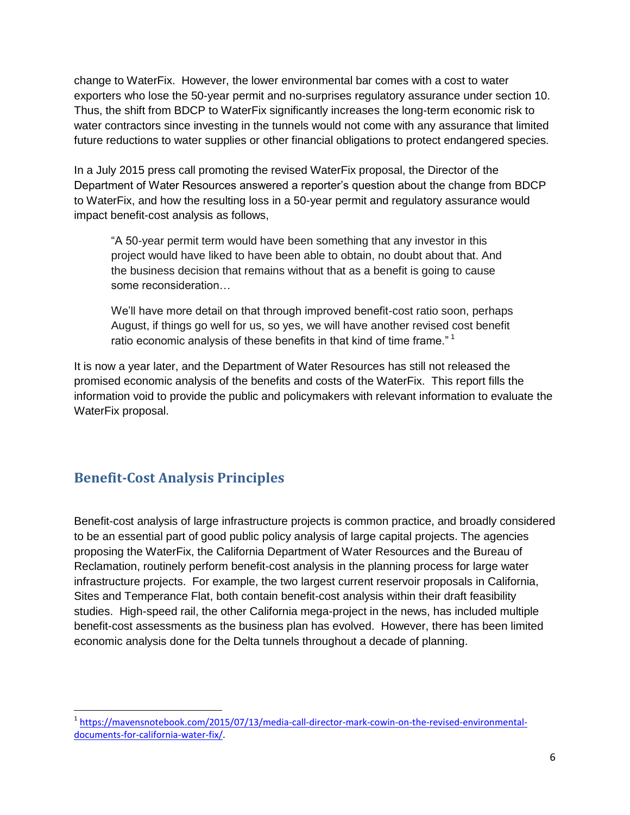change to WaterFix. However, the lower environmental bar comes with a cost to water exporters who lose the 50-year permit and no-surprises regulatory assurance under section 10. Thus, the shift from BDCP to WaterFix significantly increases the long-term economic risk to water contractors since investing in the tunnels would not come with any assurance that limited future reductions to water supplies or other financial obligations to protect endangered species.

In a July 2015 press call promoting the revised WaterFix proposal, the Director of the Department of Water Resources answered a reporter's question about the change from BDCP to WaterFix, and how the resulting loss in a 50-year permit and regulatory assurance would impact benefit-cost analysis as follows,

"A 50-year permit term would have been something that any investor in this project would have liked to have been able to obtain, no doubt about that. And the business decision that remains without that as a benefit is going to cause some reconsideration…

We'll have more detail on that through improved benefit-cost ratio soon, perhaps August, if things go well for us, so yes, we will have another revised cost benefit ratio economic analysis of these benefits in that kind of time frame."<sup>1</sup>

It is now a year later, and the Department of Water Resources has still not released the promised economic analysis of the benefits and costs of the WaterFix. This report fills the information void to provide the public and policymakers with relevant information to evaluate the WaterFix proposal.

## <span id="page-6-0"></span>**Benefit-Cost Analysis Principles**

l

Benefit-cost analysis of large infrastructure projects is common practice, and broadly considered to be an essential part of good public policy analysis of large capital projects. The agencies proposing the WaterFix, the California Department of Water Resources and the Bureau of Reclamation, routinely perform benefit-cost analysis in the planning process for large water infrastructure projects. For example, the two largest current reservoir proposals in California, Sites and Temperance Flat, both contain benefit-cost analysis within their draft feasibility studies. High-speed rail, the other California mega-project in the news, has included multiple benefit-cost assessments as the business plan has evolved. However, there has been limited economic analysis done for the Delta tunnels throughout a decade of planning.

<sup>1</sup> [https://mavensnotebook.com/2015/07/13/media-call-director-mark-cowin-on-the-revised-environmental](https://mavensnotebook.com/2015/07/13/media-call-director-mark-cowin-on-the-revised-environmental-documents-for-california-water-fix/)[documents-for-california-water-fix/.](https://mavensnotebook.com/2015/07/13/media-call-director-mark-cowin-on-the-revised-environmental-documents-for-california-water-fix/)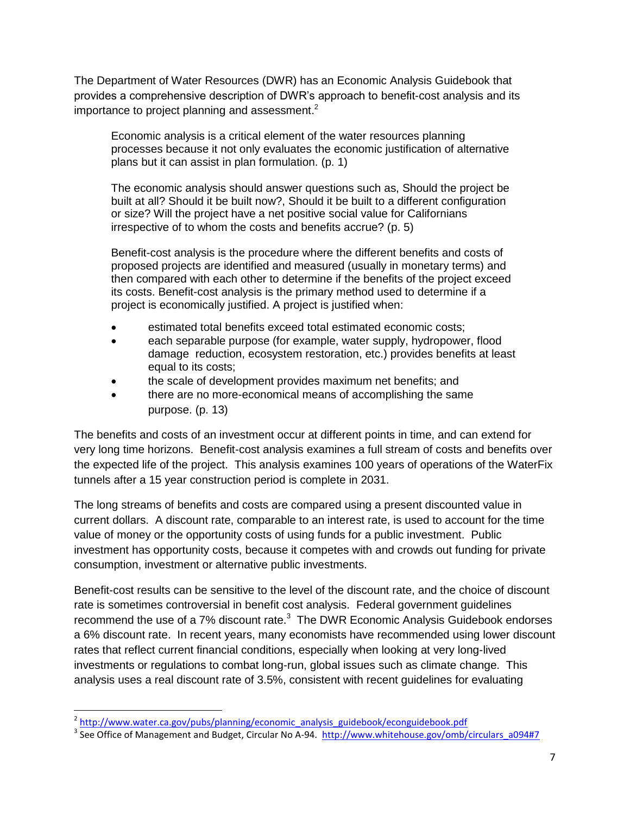The Department of Water Resources (DWR) has an Economic Analysis Guidebook that provides a comprehensive description of DWR's approach to benefit-cost analysis and its importance to project planning and assessment.<sup>2</sup>

Economic analysis is a critical element of the water resources planning processes because it not only evaluates the economic justification of alternative plans but it can assist in plan formulation. (p. 1)

The economic analysis should answer questions such as, Should the project be built at all? Should it be built now?, Should it be built to a different configuration or size? Will the project have a net positive social value for Californians irrespective of to whom the costs and benefits accrue? (p. 5)

Benefit-cost analysis is the procedure where the different benefits and costs of proposed projects are identified and measured (usually in monetary terms) and then compared with each other to determine if the benefits of the project exceed its costs. Benefit-cost analysis is the primary method used to determine if a project is economically justified. A project is justified when:

- estimated total benefits exceed total estimated economic costs;
- each separable purpose (for example, water supply, hydropower, flood damage reduction, ecosystem restoration, etc.) provides benefits at least equal to its costs;
- the scale of development provides maximum net benefits; and
- there are no more-economical means of accomplishing the same purpose. (p. 13)

The benefits and costs of an investment occur at different points in time, and can extend for very long time horizons. Benefit-cost analysis examines a full stream of costs and benefits over the expected life of the project. This analysis examines 100 years of operations of the WaterFix tunnels after a 15 year construction period is complete in 2031.

The long streams of benefits and costs are compared using a present discounted value in current dollars. A discount rate, comparable to an interest rate, is used to account for the time value of money or the opportunity costs of using funds for a public investment. Public investment has opportunity costs, because it competes with and crowds out funding for private consumption, investment or alternative public investments.

Benefit-cost results can be sensitive to the level of the discount rate, and the choice of discount rate is sometimes controversial in benefit cost analysis. Federal government guidelines recommend the use of a 7% discount rate. $3$  The DWR Economic Analysis Guidebook endorses a 6% discount rate. In recent years, many economists have recommended using lower discount rates that reflect current financial conditions, especially when looking at very long-lived investments or regulations to combat long-run, global issues such as climate change. This analysis uses a real discount rate of 3.5%, consistent with recent guidelines for evaluating

l

<sup>&</sup>lt;sup>2</sup> [http://www.water.ca.gov/pubs/planning/economic\\_analysis\\_guidebook/econguidebook.pdf](http://www.water.ca.gov/pubs/planning/economic_analysis_guidebook/econguidebook.pdf)

<sup>&</sup>lt;sup>3</sup> See Office of Management and Budget, Circular No A-94. [http://www.whitehouse.gov/omb/circulars\\_a094#7](http://www.whitehouse.gov/omb/circulars_a094%237)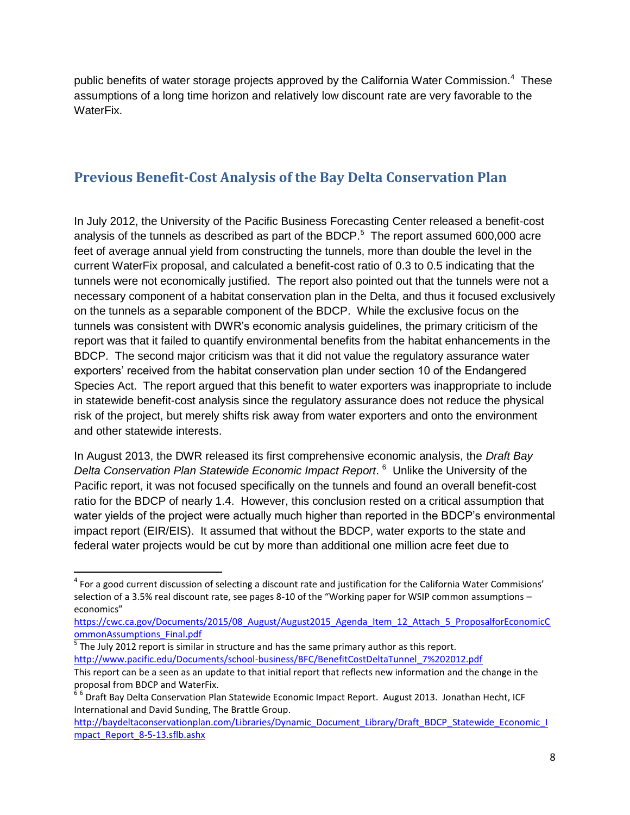public benefits of water storage projects approved by the California Water Commission.<sup>4</sup> These assumptions of a long time horizon and relatively low discount rate are very favorable to the WaterFix.

## <span id="page-8-0"></span>**Previous Benefit-Cost Analysis of the Bay Delta Conservation Plan**

In July 2012, the University of the Pacific Business Forecasting Center released a benefit-cost analysis of the tunnels as described as part of the BDCP. $5$  The report assumed 600,000 acre feet of average annual yield from constructing the tunnels, more than double the level in the current WaterFix proposal, and calculated a benefit-cost ratio of 0.3 to 0.5 indicating that the tunnels were not economically justified. The report also pointed out that the tunnels were not a necessary component of a habitat conservation plan in the Delta, and thus it focused exclusively on the tunnels as a separable component of the BDCP. While the exclusive focus on the tunnels was consistent with DWR's economic analysis guidelines, the primary criticism of the report was that it failed to quantify environmental benefits from the habitat enhancements in the BDCP. The second major criticism was that it did not value the regulatory assurance water exporters' received from the habitat conservation plan under section 10 of the Endangered Species Act. The report argued that this benefit to water exporters was inappropriate to include in statewide benefit-cost analysis since the regulatory assurance does not reduce the physical risk of the project, but merely shifts risk away from water exporters and onto the environment and other statewide interests.

In August 2013, the DWR released its first comprehensive economic analysis, the *Draft Bay Delta Conservation Plan Statewide Economic Impact Report*. 6 Unlike the University of the Pacific report, it was not focused specifically on the tunnels and found an overall benefit-cost ratio for the BDCP of nearly 1.4. However, this conclusion rested on a critical assumption that water yields of the project were actually much higher than reported in the BDCP's environmental impact report (EIR/EIS). It assumed that without the BDCP, water exports to the state and federal water projects would be cut by more than additional one million acre feet due to

 $\overline{a}$ 

<sup>&</sup>lt;sup>4</sup> For a good current discussion of selecting a discount rate and justification for the California Water Commisions' selection of a 3.5% real discount rate, see pages 8-10 of the "Working paper for WSIP common assumptions – economics"

[https://cwc.ca.gov/Documents/2015/08\\_August/August2015\\_Agenda\\_Item\\_12\\_Attach\\_5\\_ProposalforEconomicC](https://cwc.ca.gov/Documents/2015/08_August/August2015_Agenda_Item_12_Attach_5_ProposalforEconomicCommonAssumptions_Final.pdf) [ommonAssumptions\\_Final.pdf](https://cwc.ca.gov/Documents/2015/08_August/August2015_Agenda_Item_12_Attach_5_ProposalforEconomicCommonAssumptions_Final.pdf)

 $<sup>5</sup>$  The July 2012 report is similar in structure and has the same primary author as this report.</sup> [http://www.pacific.edu/Documents/school-business/BFC/BenefitCostDeltaTunnel\\_7%202012.pdf](http://www.pacific.edu/Documents/school-business/BFC/BenefitCostDeltaTunnel_7%202012.pdf) This report can be a seen as an update to that initial report that reflects new information and the change in the

proposal from BDCP and WaterFix.

<sup>&</sup>lt;sup>66</sup> Draft Bay Delta Conservation Plan Statewide Economic Impact Report. August 2013. Jonathan Hecht, ICF International and David Sunding, The Brattle Group.

[http://baydeltaconservationplan.com/Libraries/Dynamic\\_Document\\_Library/Draft\\_BDCP\\_Statewide\\_Economic\\_I](http://baydeltaconservationplan.com/Libraries/Dynamic_Document_Library/Draft_BDCP_Statewide_Economic_Impact_Report_8-5-13.sflb.ashx) mpact Report 8-5-13.sflb.ashx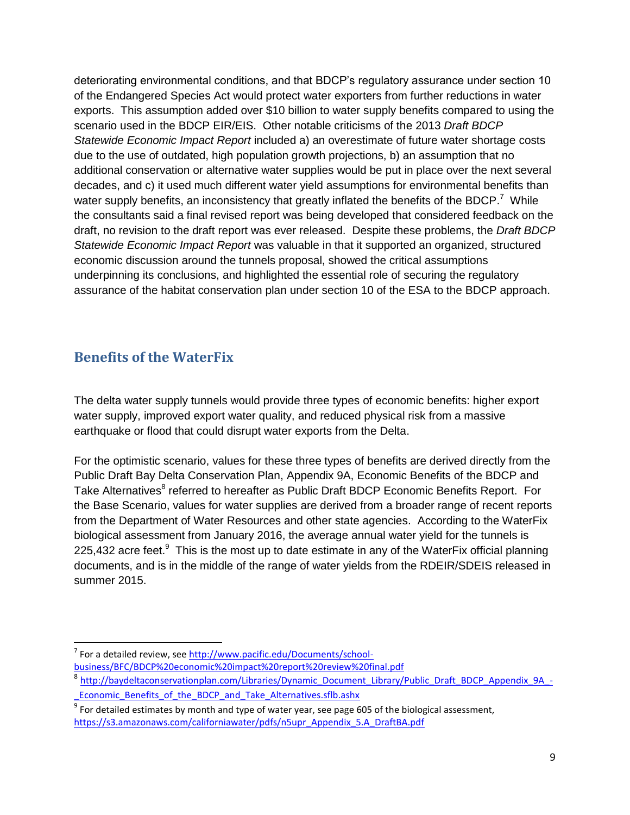deteriorating environmental conditions, and that BDCP's regulatory assurance under section 10 of the Endangered Species Act would protect water exporters from further reductions in water exports. This assumption added over \$10 billion to water supply benefits compared to using the scenario used in the BDCP EIR/EIS. Other notable criticisms of the 2013 *Draft BDCP Statewide Economic Impact Report* included a) an overestimate of future water shortage costs due to the use of outdated, high population growth projections, b) an assumption that no additional conservation or alternative water supplies would be put in place over the next several decades, and c) it used much different water yield assumptions for environmental benefits than water supply benefits, an inconsistency that greatly inflated the benefits of the BDCP.<sup>7</sup> While the consultants said a final revised report was being developed that considered feedback on the draft, no revision to the draft report was ever released. Despite these problems, the *Draft BDCP Statewide Economic Impact Report* was valuable in that it supported an organized, structured economic discussion around the tunnels proposal, showed the critical assumptions underpinning its conclusions, and highlighted the essential role of securing the regulatory assurance of the habitat conservation plan under section 10 of the ESA to the BDCP approach.

## <span id="page-9-0"></span>**Benefits of the WaterFix**

The delta water supply tunnels would provide three types of economic benefits: higher export water supply, improved export water quality, and reduced physical risk from a massive earthquake or flood that could disrupt water exports from the Delta.

For the optimistic scenario, values for these three types of benefits are derived directly from the Public Draft Bay Delta Conservation Plan, Appendix 9A, Economic Benefits of the BDCP and Take Alternatives<sup>8</sup> referred to hereafter as Public Draft BDCP Economic Benefits Report. For the Base Scenario, values for water supplies are derived from a broader range of recent reports from the Department of Water Resources and other state agencies. According to the WaterFix biological assessment from January 2016, the average annual water yield for the tunnels is 225,432 acre feet. $9$  This is the most up to date estimate in any of the WaterFix official planning documents, and is in the middle of the range of water yields from the RDEIR/SDEIS released in summer 2015.

l <sup>7</sup> For a detailed review, see [http://www.pacific.edu/Documents/school](http://www.pacific.edu/Documents/school-business/BFC/BDCP%20economic%20impact%20report%20review%20final.pdf)[business/BFC/BDCP%20economic%20impact%20report%20review%20final.pdf](http://www.pacific.edu/Documents/school-business/BFC/BDCP%20economic%20impact%20report%20review%20final.pdf)

<sup>8</sup> [http://baydeltaconservationplan.com/Libraries/Dynamic\\_Document\\_Library/Public\\_Draft\\_BDCP\\_Appendix\\_9A\\_-](http://baydeltaconservationplan.com/Libraries/Dynamic_Document_Library/Public_Draft_BDCP_Appendix_9A_-_Economic_Benefits_of_the_BDCP_and_Take_Alternatives.sflb.ashx) Economic Benefits of the BDCP and Take Alternatives.sflb.ashx

 $^9$  For detailed estimates by month and type of water year, see page 605 of the biological assessment, [https://s3.amazonaws.com/californiawater/pdfs/n5upr\\_Appendix\\_5.A\\_DraftBA.pdf](https://s3.amazonaws.com/californiawater/pdfs/n5upr_Appendix_5.A_DraftBA.pdf)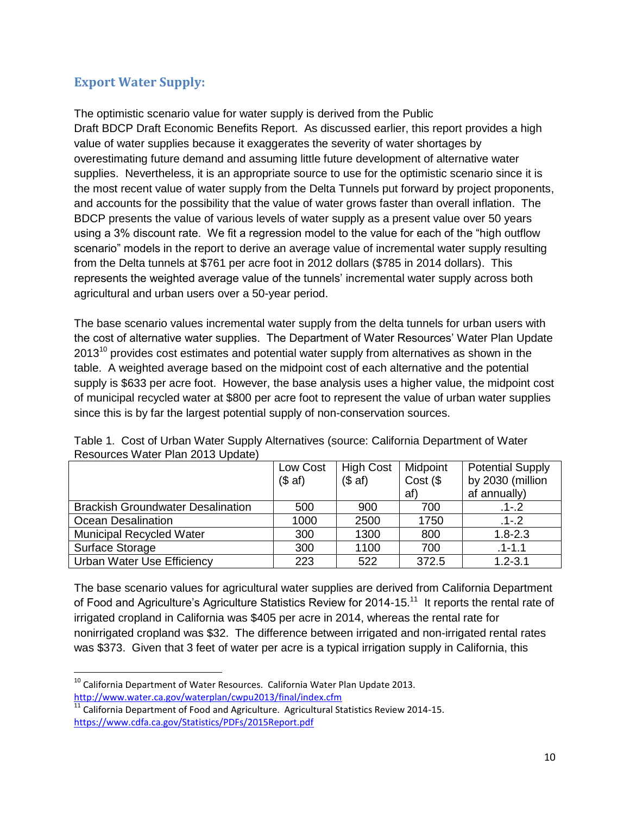### <span id="page-10-0"></span>**Export Water Supply:**

The optimistic scenario value for water supply is derived from the Public Draft BDCP Draft Economic Benefits Report. As discussed earlier, this report provides a high value of water supplies because it exaggerates the severity of water shortages by overestimating future demand and assuming little future development of alternative water supplies. Nevertheless, it is an appropriate source to use for the optimistic scenario since it is the most recent value of water supply from the Delta Tunnels put forward by project proponents, and accounts for the possibility that the value of water grows faster than overall inflation. The BDCP presents the value of various levels of water supply as a present value over 50 years using a 3% discount rate. We fit a regression model to the value for each of the "high outflow scenario" models in the report to derive an average value of incremental water supply resulting from the Delta tunnels at \$761 per acre foot in 2012 dollars (\$785 in 2014 dollars). This represents the weighted average value of the tunnels' incremental water supply across both agricultural and urban users over a 50-year period.

The base scenario values incremental water supply from the delta tunnels for urban users with the cost of alternative water supplies. The Department of Water Resources' Water Plan Update  $2013<sup>10</sup>$  provides cost estimates and potential water supply from alternatives as shown in the table. A weighted average based on the midpoint cost of each alternative and the potential supply is \$633 per acre foot. However, the base analysis uses a higher value, the midpoint cost of municipal recycled water at \$800 per acre foot to represent the value of urban water supplies since this is by far the largest potential supply of non-conservation sources.

|                                          | Low Cost<br>(\$a\$f) | <b>High Cost</b><br>(\$a\$f) | Midpoint<br>Cost (<br>af) | <b>Potential Supply</b><br>by 2030 (million<br>af annually) |
|------------------------------------------|----------------------|------------------------------|---------------------------|-------------------------------------------------------------|
| <b>Brackish Groundwater Desalination</b> | 500                  | 900                          | 700                       | $.1 - 2$                                                    |
| <b>Ocean Desalination</b>                | 1000                 | 2500                         | 1750                      | $.1 - .2$                                                   |
| <b>Municipal Recycled Water</b>          | 300                  | 1300                         | 800                       | $1.8 - 2.3$                                                 |
| Surface Storage                          | 300                  | 1100                         | 700                       | $.1 - 1.1$                                                  |
| Urban Water Use Efficiency               | 223                  | 522                          | 372.5                     | $1.2 - 3.1$                                                 |

Table 1. Cost of Urban Water Supply Alternatives (source: California Department of Water Resources Water Plan 2013 Update)

The base scenario values for agricultural water supplies are derived from California Department of Food and Agriculture's Agriculture Statistics Review for 2014-15.<sup>11</sup> It reports the rental rate of irrigated cropland in California was \$405 per acre in 2014, whereas the rental rate for nonirrigated cropland was \$32. The difference between irrigated and non-irrigated rental rates was \$373. Given that 3 feet of water per acre is a typical irrigation supply in California, this

l  $10$  California Department of Water Resources. California Water Plan Update 2013. <http://www.water.ca.gov/waterplan/cwpu2013/final/index.cfm>

 $\overline{11}$  California Department of Food and Agriculture. Agricultural Statistics Review 2014-15. <https://www.cdfa.ca.gov/Statistics/PDFs/2015Report.pdf>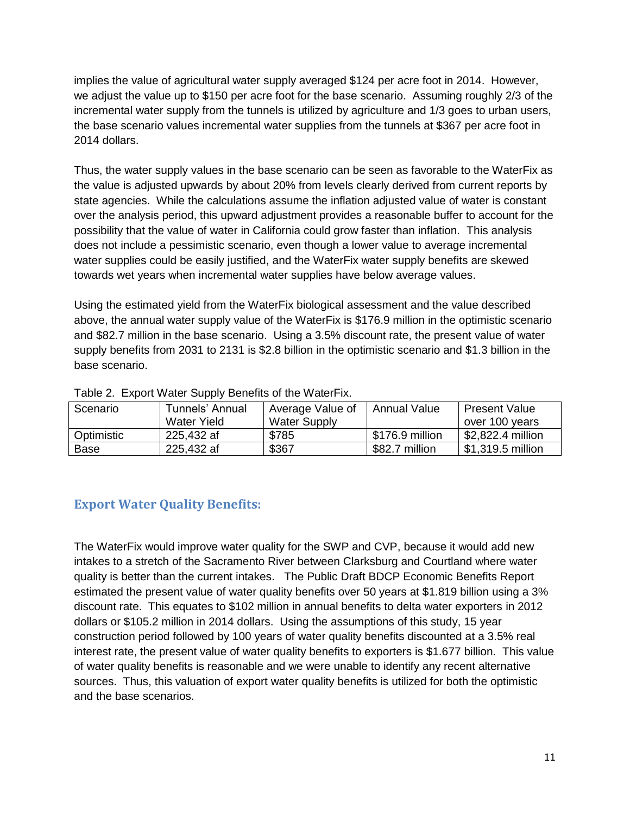implies the value of agricultural water supply averaged \$124 per acre foot in 2014. However, we adjust the value up to \$150 per acre foot for the base scenario. Assuming roughly 2/3 of the incremental water supply from the tunnels is utilized by agriculture and 1/3 goes to urban users, the base scenario values incremental water supplies from the tunnels at \$367 per acre foot in 2014 dollars.

Thus, the water supply values in the base scenario can be seen as favorable to the WaterFix as the value is adjusted upwards by about 20% from levels clearly derived from current reports by state agencies. While the calculations assume the inflation adjusted value of water is constant over the analysis period, this upward adjustment provides a reasonable buffer to account for the possibility that the value of water in California could grow faster than inflation. This analysis does not include a pessimistic scenario, even though a lower value to average incremental water supplies could be easily justified, and the WaterFix water supply benefits are skewed towards wet years when incremental water supplies have below average values.

Using the estimated yield from the WaterFix biological assessment and the value described above, the annual water supply value of the WaterFix is \$176.9 million in the optimistic scenario and \$82.7 million in the base scenario. Using a 3.5% discount rate, the present value of water supply benefits from 2031 to 2131 is \$2.8 billion in the optimistic scenario and \$1.3 billion in the base scenario.

| Scenario   | Tunnels' Annual | Average Value of    | Annual Value    | <b>Present Value</b> |
|------------|-----------------|---------------------|-----------------|----------------------|
|            | Water Yield     | <b>Water Supply</b> |                 | over 100 years       |
| Optimistic | 225,432 af      | \$785               | \$176.9 million | \$2,822.4 million    |
| Base       | 225,432 af      | \$367               | \$82.7 million  | 51,319.5 million     |

Table 2. Export Water Supply Benefits of the WaterFix.

### <span id="page-11-0"></span>**Export Water Quality Benefits:**

The WaterFix would improve water quality for the SWP and CVP, because it would add new intakes to a stretch of the Sacramento River between Clarksburg and Courtland where water quality is better than the current intakes. The Public Draft BDCP Economic Benefits Report estimated the present value of water quality benefits over 50 years at \$1.819 billion using a 3% discount rate. This equates to \$102 million in annual benefits to delta water exporters in 2012 dollars or \$105.2 million in 2014 dollars. Using the assumptions of this study, 15 year construction period followed by 100 years of water quality benefits discounted at a 3.5% real interest rate, the present value of water quality benefits to exporters is \$1.677 billion. This value of water quality benefits is reasonable and we were unable to identify any recent alternative sources. Thus, this valuation of export water quality benefits is utilized for both the optimistic and the base scenarios.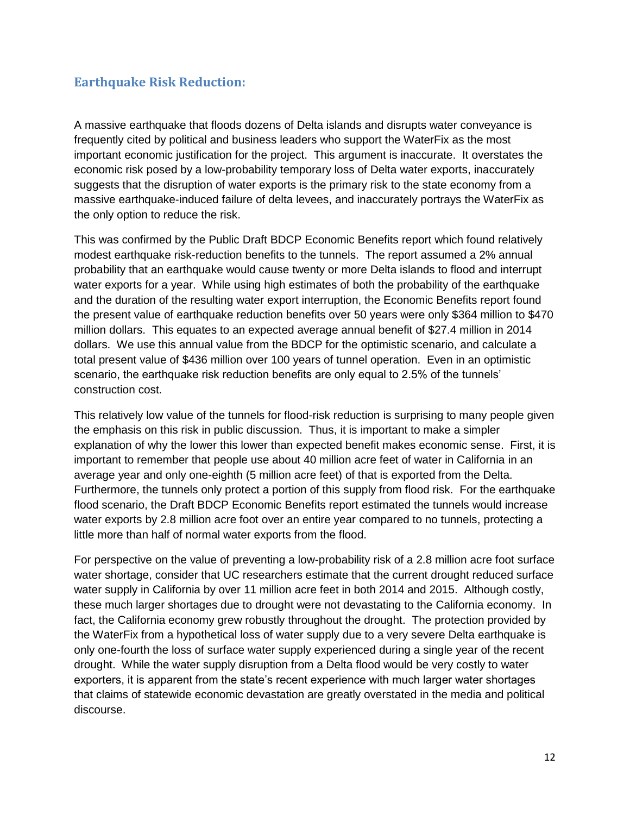#### <span id="page-12-0"></span>**Earthquake Risk Reduction:**

A massive earthquake that floods dozens of Delta islands and disrupts water conveyance is frequently cited by political and business leaders who support the WaterFix as the most important economic justification for the project. This argument is inaccurate. It overstates the economic risk posed by a low-probability temporary loss of Delta water exports, inaccurately suggests that the disruption of water exports is the primary risk to the state economy from a massive earthquake-induced failure of delta levees, and inaccurately portrays the WaterFix as the only option to reduce the risk.

This was confirmed by the Public Draft BDCP Economic Benefits report which found relatively modest earthquake risk-reduction benefits to the tunnels. The report assumed a 2% annual probability that an earthquake would cause twenty or more Delta islands to flood and interrupt water exports for a year. While using high estimates of both the probability of the earthquake and the duration of the resulting water export interruption, the Economic Benefits report found the present value of earthquake reduction benefits over 50 years were only \$364 million to \$470 million dollars. This equates to an expected average annual benefit of \$27.4 million in 2014 dollars. We use this annual value from the BDCP for the optimistic scenario, and calculate a total present value of \$436 million over 100 years of tunnel operation. Even in an optimistic scenario, the earthquake risk reduction benefits are only equal to 2.5% of the tunnels' construction cost.

This relatively low value of the tunnels for flood-risk reduction is surprising to many people given the emphasis on this risk in public discussion. Thus, it is important to make a simpler explanation of why the lower this lower than expected benefit makes economic sense. First, it is important to remember that people use about 40 million acre feet of water in California in an average year and only one-eighth (5 million acre feet) of that is exported from the Delta. Furthermore, the tunnels only protect a portion of this supply from flood risk. For the earthquake flood scenario, the Draft BDCP Economic Benefits report estimated the tunnels would increase water exports by 2.8 million acre foot over an entire year compared to no tunnels, protecting a little more than half of normal water exports from the flood.

For perspective on the value of preventing a low-probability risk of a 2.8 million acre foot surface water shortage, consider that UC researchers estimate that the current drought reduced surface water supply in California by over 11 million acre feet in both 2014 and 2015. Although costly, these much larger shortages due to drought were not devastating to the California economy. In fact, the California economy grew robustly throughout the drought. The protection provided by the WaterFix from a hypothetical loss of water supply due to a very severe Delta earthquake is only one-fourth the loss of surface water supply experienced during a single year of the recent drought. While the water supply disruption from a Delta flood would be very costly to water exporters, it is apparent from the state's recent experience with much larger water shortages that claims of statewide economic devastation are greatly overstated in the media and political discourse.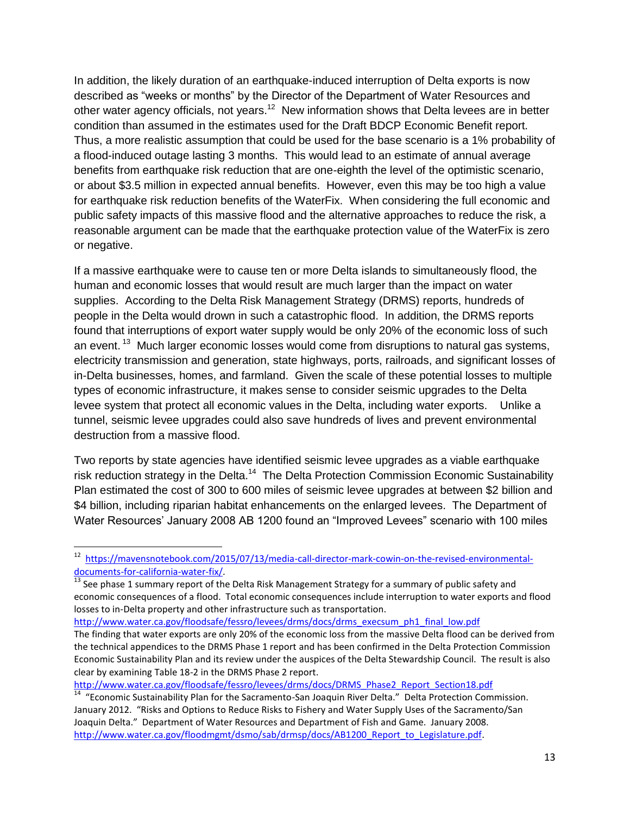In addition, the likely duration of an earthquake-induced interruption of Delta exports is now described as "weeks or months" by the Director of the Department of Water Resources and other water agency officials, not years.<sup>12</sup> New information shows that Delta levees are in better condition than assumed in the estimates used for the Draft BDCP Economic Benefit report. Thus, a more realistic assumption that could be used for the base scenario is a 1% probability of a flood-induced outage lasting 3 months. This would lead to an estimate of annual average benefits from earthquake risk reduction that are one-eighth the level of the optimistic scenario, or about \$3.5 million in expected annual benefits. However, even this may be too high a value for earthquake risk reduction benefits of the WaterFix. When considering the full economic and public safety impacts of this massive flood and the alternative approaches to reduce the risk, a reasonable argument can be made that the earthquake protection value of the WaterFix is zero or negative.

If a massive earthquake were to cause ten or more Delta islands to simultaneously flood, the human and economic losses that would result are much larger than the impact on water supplies. According to the Delta Risk Management Strategy (DRMS) reports, hundreds of people in the Delta would drown in such a catastrophic flood. In addition, the DRMS reports found that interruptions of export water supply would be only 20% of the economic loss of such an event.<sup>13</sup> Much larger economic losses would come from disruptions to natural gas systems, electricity transmission and generation, state highways, ports, railroads, and significant losses of in-Delta businesses, homes, and farmland. Given the scale of these potential losses to multiple types of economic infrastructure, it makes sense to consider seismic upgrades to the Delta levee system that protect all economic values in the Delta, including water exports. Unlike a tunnel, seismic levee upgrades could also save hundreds of lives and prevent environmental destruction from a massive flood.

Two reports by state agencies have identified seismic levee upgrades as a viable earthquake risk reduction strategy in the Delta.<sup>14</sup> The Delta Protection Commission Economic Sustainability Plan estimated the cost of 300 to 600 miles of seismic levee upgrades at between \$2 billion and \$4 billion, including riparian habitat enhancements on the enlarged levees. The Department of Water Resources' January 2008 AB 1200 found an "Improved Levees" scenario with 100 miles

[http://www.water.ca.gov/floodsafe/fessro/levees/drms/docs/drms\\_execsum\\_ph1\\_final\\_low.pdf](http://www.water.ca.gov/floodsafe/fessro/levees/drms/docs/drms_execsum_ph1_final_low.pdf)

 $\overline{\phantom{a}}$ 

[http://www.water.ca.gov/floodsafe/fessro/levees/drms/docs/DRMS\\_Phase2\\_Report\\_Section18.pdf](http://www.water.ca.gov/floodsafe/fessro/levees/drms/docs/DRMS_Phase2_Report_Section18.pdf)

<sup>&</sup>lt;sup>12</sup> [https://mavensnotebook.com/2015/07/13/media-call-director-mark-cowin-on-the-revised-environmental](https://mavensnotebook.com/2015/07/13/media-call-director-mark-cowin-on-the-revised-environmental-documents-for-california-water-fix/)[documents-for-california-water-fix/.](https://mavensnotebook.com/2015/07/13/media-call-director-mark-cowin-on-the-revised-environmental-documents-for-california-water-fix/)

 $^{13}$  See phase 1 summary report of the Delta Risk Management Strategy for a summary of public safety and economic consequences of a flood. Total economic consequences include interruption to water exports and flood losses to in-Delta property and other infrastructure such as transportation.

The finding that water exports are only 20% of the economic loss from the massive Delta flood can be derived from the technical appendices to the DRMS Phase 1 report and has been confirmed in the Delta Protection Commission Economic Sustainability Plan and its review under the auspices of the Delta Stewardship Council. The result is also clear by examining Table 18-2 in the DRMS Phase 2 report.

<sup>&</sup>lt;sup>14</sup> "Economic Sustainability Plan for the Sacramento-San Joaquin River Delta." Delta Protection Commission. January 2012. "Risks and Options to Reduce Risks to Fishery and Water Supply Uses of the Sacramento/San Joaquin Delta." Department of Water Resources and Department of Fish and Game. January 2008. [http://www.water.ca.gov/floodmgmt/dsmo/sab/drmsp/docs/AB1200\\_Report\\_to\\_Legislature.pdf.](http://www.water.ca.gov/floodmgmt/dsmo/sab/drmsp/docs/AB1200_Report_to_Legislature.pdf)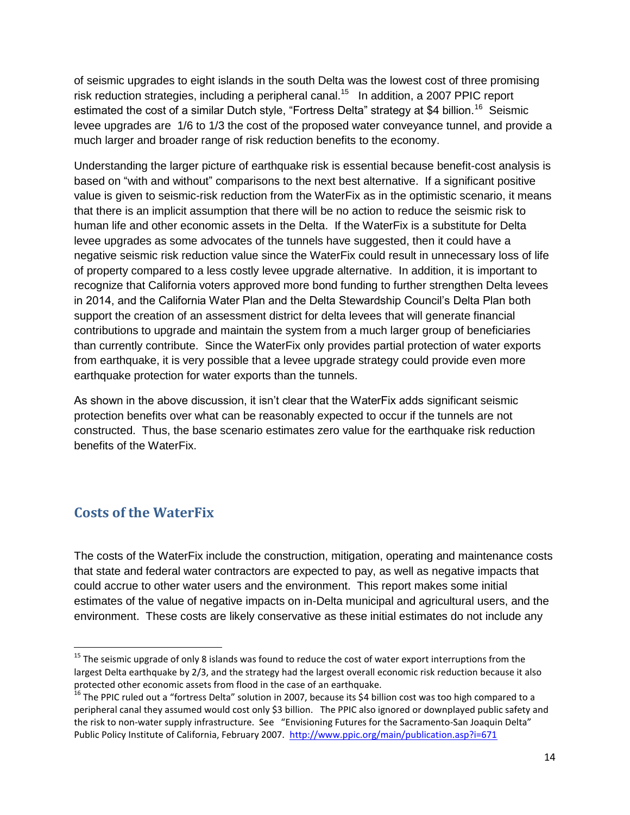of seismic upgrades to eight islands in the south Delta was the lowest cost of three promising risk reduction strategies, including a peripheral canal.<sup>15</sup> In addition, a 2007 PPIC report estimated the cost of a similar Dutch style, "Fortress Delta" strategy at \$4 billion.<sup>16</sup> Seismic levee upgrades are 1/6 to 1/3 the cost of the proposed water conveyance tunnel, and provide a much larger and broader range of risk reduction benefits to the economy.

Understanding the larger picture of earthquake risk is essential because benefit-cost analysis is based on "with and without" comparisons to the next best alternative. If a significant positive value is given to seismic-risk reduction from the WaterFix as in the optimistic scenario, it means that there is an implicit assumption that there will be no action to reduce the seismic risk to human life and other economic assets in the Delta. If the WaterFix is a substitute for Delta levee upgrades as some advocates of the tunnels have suggested, then it could have a negative seismic risk reduction value since the WaterFix could result in unnecessary loss of life of property compared to a less costly levee upgrade alternative. In addition, it is important to recognize that California voters approved more bond funding to further strengthen Delta levees in 2014, and the California Water Plan and the Delta Stewardship Council's Delta Plan both support the creation of an assessment district for delta levees that will generate financial contributions to upgrade and maintain the system from a much larger group of beneficiaries than currently contribute. Since the WaterFix only provides partial protection of water exports from earthquake, it is very possible that a levee upgrade strategy could provide even more earthquake protection for water exports than the tunnels.

As shown in the above discussion, it isn't clear that the WaterFix adds significant seismic protection benefits over what can be reasonably expected to occur if the tunnels are not constructed. Thus, the base scenario estimates zero value for the earthquake risk reduction benefits of the WaterFix.

### <span id="page-14-0"></span>**Costs of the WaterFix**

 $\overline{\phantom{a}}$ 

The costs of the WaterFix include the construction, mitigation, operating and maintenance costs that state and federal water contractors are expected to pay, as well as negative impacts that could accrue to other water users and the environment. This report makes some initial estimates of the value of negative impacts on in-Delta municipal and agricultural users, and the environment. These costs are likely conservative as these initial estimates do not include any

<sup>&</sup>lt;sup>15</sup> The seismic upgrade of only 8 islands was found to reduce the cost of water export interruptions from the largest Delta earthquake by 2/3, and the strategy had the largest overall economic risk reduction because it also protected other economic assets from flood in the case of an earthquake.

<sup>&</sup>lt;sup>16</sup> The PPIC ruled out a "fortress Delta" solution in 2007, because its \$4 billion cost was too high compared to a peripheral canal they assumed would cost only \$3 billion. The PPIC also ignored or downplayed public safety and the risk to non-water supply infrastructure. See "Envisioning Futures for the Sacramento-San Joaquin Delta" Public Policy Institute of California, February 2007.<http://www.ppic.org/main/publication.asp?i=671>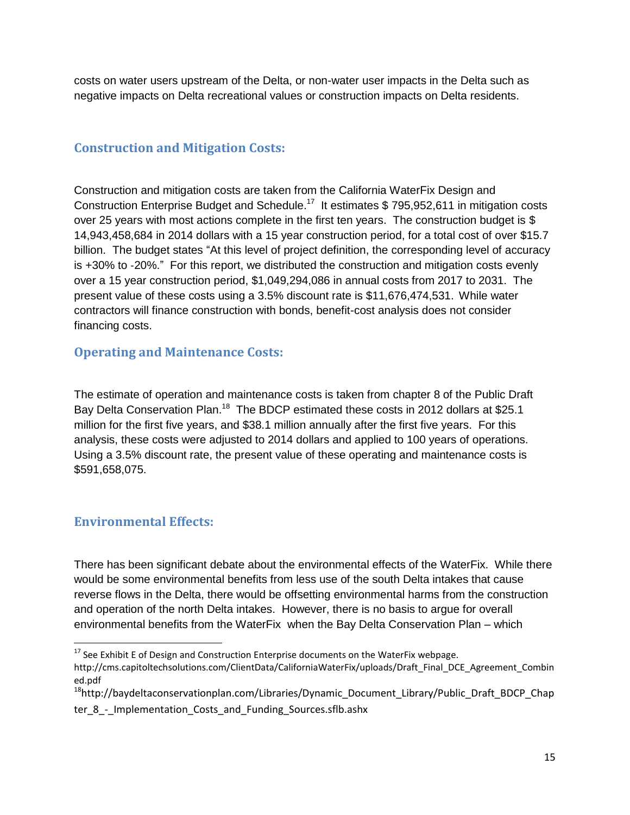costs on water users upstream of the Delta, or non-water user impacts in the Delta such as negative impacts on Delta recreational values or construction impacts on Delta residents.

#### <span id="page-15-0"></span>**Construction and Mitigation Costs:**

Construction and mitigation costs are taken from the California WaterFix Design and Construction Enterprise Budget and Schedule.<sup>17</sup> It estimates \$ 795,952,611 in mitigation costs over 25 years with most actions complete in the first ten years. The construction budget is \$ 14,943,458,684 in 2014 dollars with a 15 year construction period, for a total cost of over \$15.7 billion. The budget states "At this level of project definition, the corresponding level of accuracy is +30% to ‐20%." For this report, we distributed the construction and mitigation costs evenly over a 15 year construction period, \$1,049,294,086 in annual costs from 2017 to 2031. The present value of these costs using a 3.5% discount rate is \$11,676,474,531. While water contractors will finance construction with bonds, benefit-cost analysis does not consider financing costs.

#### <span id="page-15-1"></span>**Operating and Maintenance Costs:**

The estimate of operation and maintenance costs is taken from chapter 8 of the Public Draft Bay Delta Conservation Plan.<sup>18</sup> The BDCP estimated these costs in 2012 dollars at \$25.1 million for the first five years, and \$38.1 million annually after the first five years. For this analysis, these costs were adjusted to 2014 dollars and applied to 100 years of operations. Using a 3.5% discount rate, the present value of these operating and maintenance costs is \$591,658,075.

#### <span id="page-15-2"></span>**Environmental Effects:**

l

There has been significant debate about the environmental effects of the WaterFix. While there would be some environmental benefits from less use of the south Delta intakes that cause reverse flows in the Delta, there would be offsetting environmental harms from the construction and operation of the north Delta intakes. However, there is no basis to argue for overall environmental benefits from the WaterFix when the Bay Delta Conservation Plan – which

 $17$  See Exhibit E of Design and Construction Enterprise documents on the WaterFix webpage.

http://cms.capitoltechsolutions.com/ClientData/CaliforniaWaterFix/uploads/Draft\_Final\_DCE\_Agreement\_Combin ed.pdf

<sup>&</sup>lt;sup>18</sup>http://baydeltaconservationplan.com/Libraries/Dynamic\_Document\_Library/Public\_Draft\_BDCP\_Chap ter 8 - Implementation Costs and Funding Sources.sflb.ashx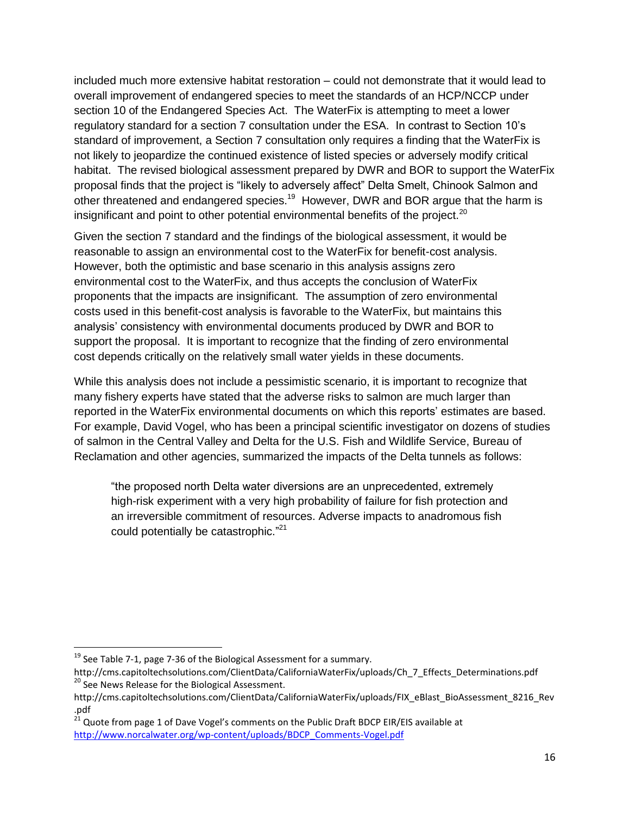included much more extensive habitat restoration – could not demonstrate that it would lead to overall improvement of endangered species to meet the standards of an HCP/NCCP under section 10 of the Endangered Species Act. The WaterFix is attempting to meet a lower regulatory standard for a section 7 consultation under the ESA. In contrast to Section 10's standard of improvement, a Section 7 consultation only requires a finding that the WaterFix is not likely to jeopardize the continued existence of listed species or adversely modify critical habitat. The revised biological assessment prepared by DWR and BOR to support the WaterFix proposal finds that the project is "likely to adversely affect" Delta Smelt, Chinook Salmon and other threatened and endangered species.<sup>19</sup> However, DWR and BOR argue that the harm is insignificant and point to other potential environmental benefits of the project.<sup>20</sup>

Given the section 7 standard and the findings of the biological assessment, it would be reasonable to assign an environmental cost to the WaterFix for benefit-cost analysis. However, both the optimistic and base scenario in this analysis assigns zero environmental cost to the WaterFix, and thus accepts the conclusion of WaterFix proponents that the impacts are insignificant. The assumption of zero environmental costs used in this benefit-cost analysis is favorable to the WaterFix, but maintains this analysis' consistency with environmental documents produced by DWR and BOR to support the proposal. It is important to recognize that the finding of zero environmental cost depends critically on the relatively small water yields in these documents.

While this analysis does not include a pessimistic scenario, it is important to recognize that many fishery experts have stated that the adverse risks to salmon are much larger than reported in the WaterFix environmental documents on which this reports' estimates are based. For example, David Vogel, who has been a principal scientific investigator on dozens of studies of salmon in the Central Valley and Delta for the U.S. Fish and Wildlife Service, Bureau of Reclamation and other agencies, summarized the impacts of the Delta tunnels as follows:

"the proposed north Delta water diversions are an unprecedented, extremely high-risk experiment with a very high probability of failure for fish protection and an irreversible commitment of resources. Adverse impacts to anadromous fish could potentially be catastrophic."<sup>21</sup>

<span id="page-16-0"></span> $\overline{\phantom{a}}$ 

 $^{19}$  See Table 7-1, page 7-36 of the Biological Assessment for a summary.

http://cms.capitoltechsolutions.com/ClientData/CaliforniaWaterFix/uploads/Ch\_7\_Effects\_Determinations.pdf <sup>20</sup> See News Release for the Biological Assessment.

http://cms.capitoltechsolutions.com/ClientData/CaliforniaWaterFix/uploads/FIX\_eBlast\_BioAssessment\_8216\_Rev .pdf

 $^{21}$  Quote from page 1 of Dave Vogel's comments on the Public Draft BDCP EIR/EIS available at [http://www.norcalwater.org/wp-content/uploads/BDCP\\_Comments-Vogel.pdf](http://www.norcalwater.org/wp-content/uploads/BDCP_Comments-Vogel.pdf)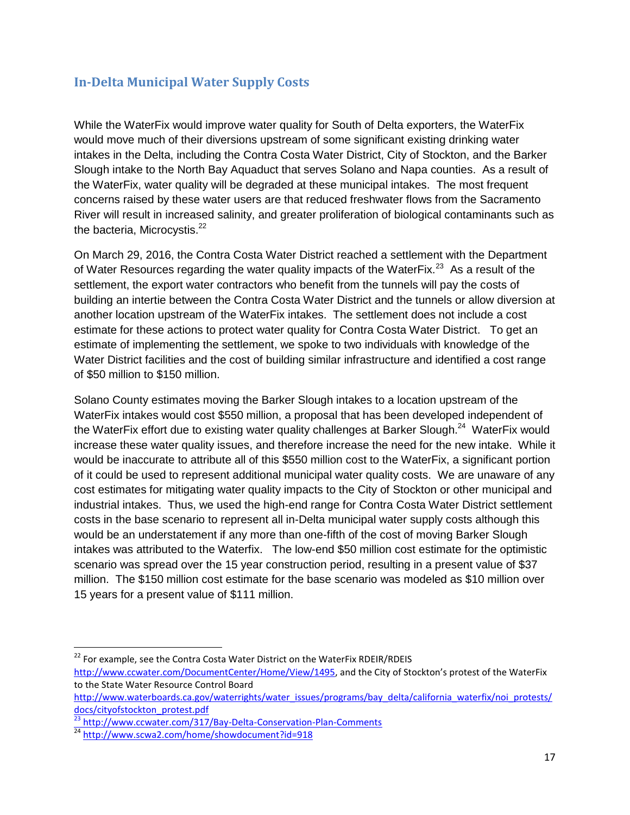#### **In-Delta Municipal Water Supply Costs**

While the WaterFix would improve water quality for South of Delta exporters, the WaterFix would move much of their diversions upstream of some significant existing drinking water intakes in the Delta, including the Contra Costa Water District, City of Stockton, and the Barker Slough intake to the North Bay Aquaduct that serves Solano and Napa counties. As a result of the WaterFix, water quality will be degraded at these municipal intakes. The most frequent concerns raised by these water users are that reduced freshwater flows from the Sacramento River will result in increased salinity, and greater proliferation of biological contaminants such as the bacteria, Microcystis.<sup>22</sup>

On March 29, 2016, the Contra Costa Water District reached a settlement with the Department of Water Resources regarding the water quality impacts of the WaterFix.<sup>23</sup> As a result of the settlement, the export water contractors who benefit from the tunnels will pay the costs of building an intertie between the Contra Costa Water District and the tunnels or allow diversion at another location upstream of the WaterFix intakes. The settlement does not include a cost estimate for these actions to protect water quality for Contra Costa Water District. To get an estimate of implementing the settlement, we spoke to two individuals with knowledge of the Water District facilities and the cost of building similar infrastructure and identified a cost range of \$50 million to \$150 million.

Solano County estimates moving the Barker Slough intakes to a location upstream of the WaterFix intakes would cost \$550 million, a proposal that has been developed independent of the WaterFix effort due to existing water quality challenges at Barker Slough.<sup>24</sup> WaterFix would increase these water quality issues, and therefore increase the need for the new intake. While it would be inaccurate to attribute all of this \$550 million cost to the WaterFix, a significant portion of it could be used to represent additional municipal water quality costs. We are unaware of any cost estimates for mitigating water quality impacts to the City of Stockton or other municipal and industrial intakes. Thus, we used the high-end range for Contra Costa Water District settlement costs in the base scenario to represent all in-Delta municipal water supply costs although this would be an understatement if any more than one-fifth of the cost of moving Barker Slough intakes was attributed to the Waterfix. The low-end \$50 million cost estimate for the optimistic scenario was spread over the 15 year construction period, resulting in a present value of \$37 million. The \$150 million cost estimate for the base scenario was modeled as \$10 million over 15 years for a present value of \$111 million.

 $\overline{\phantom{a}}$  $^{22}$  For example, see the Contra Costa Water District on the WaterFix RDEIR/RDEIS <http://www.ccwater.com/DocumentCenter/Home/View/1495>, and the City of Stockton's protest of the WaterFix to the State Water Resource Control Board

[http://www.waterboards.ca.gov/waterrights/water\\_issues/programs/bay\\_delta/california\\_waterfix/noi\\_protests/](http://www.waterboards.ca.gov/waterrights/water_issues/programs/bay_delta/california_waterfix/noi_protests/docs/cityofstockton_protest.pdf) [docs/cityofstockton\\_protest.pdf](http://www.waterboards.ca.gov/waterrights/water_issues/programs/bay_delta/california_waterfix/noi_protests/docs/cityofstockton_protest.pdf)

 $\frac{23}{23}$  <http://www.ccwater.com/317/Bay-Delta-Conservation-Plan-Comments>

<sup>&</sup>lt;sup>24</sup> <http://www.scwa2.com/home/showdocument?id=918>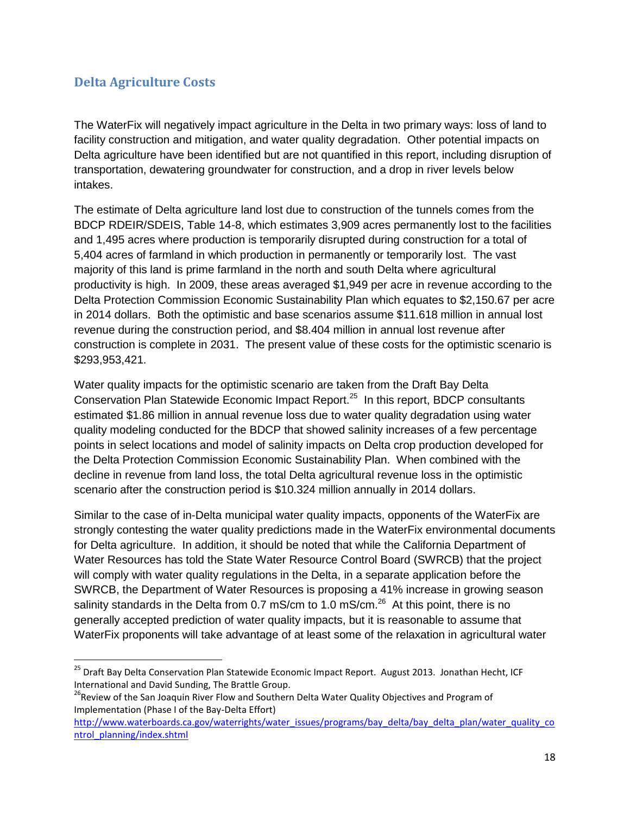#### <span id="page-18-0"></span>**Delta Agriculture Costs**

 $\overline{a}$ 

The WaterFix will negatively impact agriculture in the Delta in two primary ways: loss of land to facility construction and mitigation, and water quality degradation. Other potential impacts on Delta agriculture have been identified but are not quantified in this report, including disruption of transportation, dewatering groundwater for construction, and a drop in river levels below intakes.

The estimate of Delta agriculture land lost due to construction of the tunnels comes from the BDCP RDEIR/SDEIS, Table 14-8, which estimates 3,909 acres permanently lost to the facilities and 1,495 acres where production is temporarily disrupted during construction for a total of 5,404 acres of farmland in which production in permanently or temporarily lost. The vast majority of this land is prime farmland in the north and south Delta where agricultural productivity is high. In 2009, these areas averaged \$1,949 per acre in revenue according to the Delta Protection Commission Economic Sustainability Plan which equates to \$2,150.67 per acre in 2014 dollars. Both the optimistic and base scenarios assume \$11.618 million in annual lost revenue during the construction period, and \$8.404 million in annual lost revenue after construction is complete in 2031. The present value of these costs for the optimistic scenario is \$293,953,421.

Water quality impacts for the optimistic scenario are taken from the Draft Bay Delta Conservation Plan Statewide Economic Impact Report.<sup>25</sup> In this report, BDCP consultants estimated \$1.86 million in annual revenue loss due to water quality degradation using water quality modeling conducted for the BDCP that showed salinity increases of a few percentage points in select locations and model of salinity impacts on Delta crop production developed for the Delta Protection Commission Economic Sustainability Plan. When combined with the decline in revenue from land loss, the total Delta agricultural revenue loss in the optimistic scenario after the construction period is \$10.324 million annually in 2014 dollars.

Similar to the case of in-Delta municipal water quality impacts, opponents of the WaterFix are strongly contesting the water quality predictions made in the WaterFix environmental documents for Delta agriculture. In addition, it should be noted that while the California Department of Water Resources has told the State Water Resource Control Board (SWRCB) that the project will comply with water quality regulations in the Delta, in a separate application before the SWRCB, the Department of Water Resources is proposing a 41% increase in growing season salinity standards in the Delta from 0.7 mS/cm to 1.0 mS/cm. $^{26}$  At this point, there is no generally accepted prediction of water quality impacts, but it is reasonable to assume that WaterFix proponents will take advantage of at least some of the relaxation in agricultural water

<sup>&</sup>lt;sup>25</sup> Draft Bay Delta Conservation Plan Statewide Economic Impact Report. August 2013. Jonathan Hecht, ICF International and David Sunding, The Brattle Group.

<sup>&</sup>lt;sup>26</sup>Review of the San Joaquin River Flow and Southern Delta Water Quality Objectives and Program of Implementation (Phase I of the Bay-Delta Effort)

[http://www.waterboards.ca.gov/waterrights/water\\_issues/programs/bay\\_delta/bay\\_delta\\_plan/water\\_quality\\_co](http://www.waterboards.ca.gov/waterrights/water_issues/programs/bay_delta/bay_delta_plan/water_quality_control_planning/index.shtml) [ntrol\\_planning/index.shtml](http://www.waterboards.ca.gov/waterrights/water_issues/programs/bay_delta/bay_delta_plan/water_quality_control_planning/index.shtml)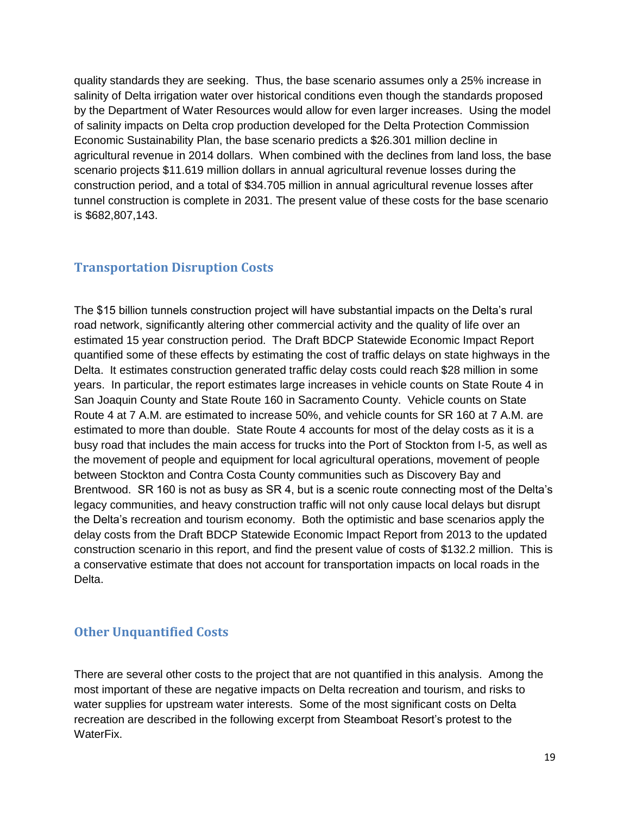quality standards they are seeking. Thus, the base scenario assumes only a 25% increase in salinity of Delta irrigation water over historical conditions even though the standards proposed by the Department of Water Resources would allow for even larger increases. Using the model of salinity impacts on Delta crop production developed for the Delta Protection Commission Economic Sustainability Plan, the base scenario predicts a \$26.301 million decline in agricultural revenue in 2014 dollars. When combined with the declines from land loss, the base scenario projects \$11.619 million dollars in annual agricultural revenue losses during the construction period, and a total of \$34.705 million in annual agricultural revenue losses after tunnel construction is complete in 2031. The present value of these costs for the base scenario is \$682,807,143.

#### <span id="page-19-0"></span>**Transportation Disruption Costs**

The \$15 billion tunnels construction project will have substantial impacts on the Delta's rural road network, significantly altering other commercial activity and the quality of life over an estimated 15 year construction period. The Draft BDCP Statewide Economic Impact Report quantified some of these effects by estimating the cost of traffic delays on state highways in the Delta. It estimates construction generated traffic delay costs could reach \$28 million in some years. In particular, the report estimates large increases in vehicle counts on State Route 4 in San Joaquin County and State Route 160 in Sacramento County. Vehicle counts on State Route 4 at 7 A.M. are estimated to increase 50%, and vehicle counts for SR 160 at 7 A.M. are estimated to more than double. State Route 4 accounts for most of the delay costs as it is a busy road that includes the main access for trucks into the Port of Stockton from I-5, as well as the movement of people and equipment for local agricultural operations, movement of people between Stockton and Contra Costa County communities such as Discovery Bay and Brentwood. SR 160 is not as busy as SR 4, but is a scenic route connecting most of the Delta's legacy communities, and heavy construction traffic will not only cause local delays but disrupt the Delta's recreation and tourism economy. Both the optimistic and base scenarios apply the delay costs from the Draft BDCP Statewide Economic Impact Report from 2013 to the updated construction scenario in this report, and find the present value of costs of \$132.2 million. This is a conservative estimate that does not account for transportation impacts on local roads in the Delta.

#### <span id="page-19-1"></span>**Other Unquantified Costs**

There are several other costs to the project that are not quantified in this analysis. Among the most important of these are negative impacts on Delta recreation and tourism, and risks to water supplies for upstream water interests. Some of the most significant costs on Delta recreation are described in the following excerpt from Steamboat Resort's protest to the WaterFix.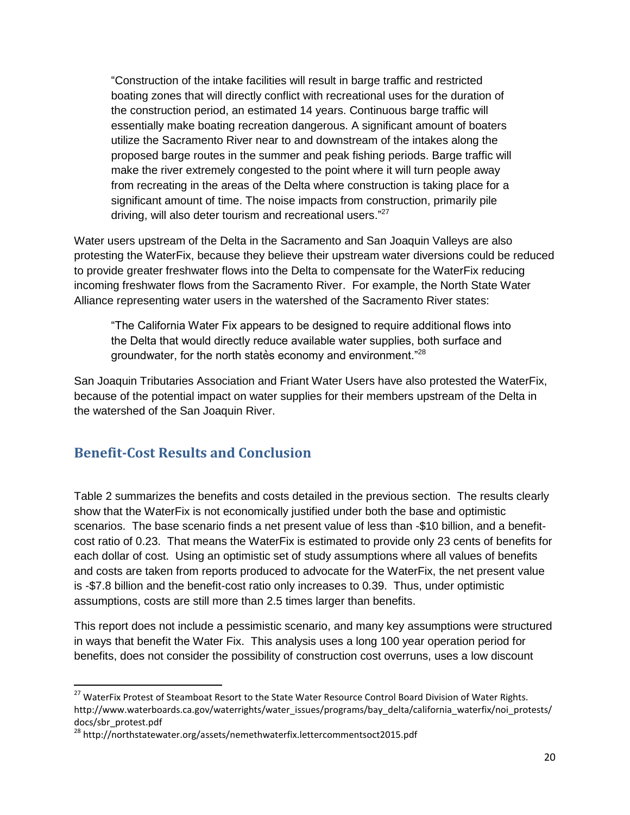"Construction of the intake facilities will result in barge traffic and restricted boating zones that will directly conflict with recreational uses for the duration of the construction period, an estimated 14 years. Continuous barge traffic will essentially make boating recreation dangerous. A significant amount of boaters utilize the Sacramento River near to and downstream of the intakes along the proposed barge routes in the summer and peak fishing periods. Barge traffic will make the river extremely congested to the point where it will turn people away from recreating in the areas of the Delta where construction is taking place for a significant amount of time. The noise impacts from construction, primarily pile driving, will also deter tourism and recreational users."<sup>27</sup>

Water users upstream of the Delta in the Sacramento and San Joaquin Valleys are also protesting the WaterFix, because they believe their upstream water diversions could be reduced to provide greater freshwater flows into the Delta to compensate for the WaterFix reducing incoming freshwater flows from the Sacramento River. For example, the North State Water Alliance representing water users in the watershed of the Sacramento River states:

"The California Water Fix appears to be designed to require additional flows into the Delta that would directly reduce available water supplies, both surface and groundwater, for the north states economy and environment."<sup>28</sup>

San Joaquin Tributaries Association and Friant Water Users have also protested the WaterFix, because of the potential impact on water supplies for their members upstream of the Delta in the watershed of the San Joaquin River.

### <span id="page-20-0"></span>**Benefit-Cost Results and Conclusion**

 $\overline{a}$ 

Table 2 summarizes the benefits and costs detailed in the previous section. The results clearly show that the WaterFix is not economically justified under both the base and optimistic scenarios. The base scenario finds a net present value of less than -\$10 billion, and a benefitcost ratio of 0.23. That means the WaterFix is estimated to provide only 23 cents of benefits for each dollar of cost. Using an optimistic set of study assumptions where all values of benefits and costs are taken from reports produced to advocate for the WaterFix, the net present value is -\$7.8 billion and the benefit-cost ratio only increases to 0.39. Thus, under optimistic assumptions, costs are still more than 2.5 times larger than benefits.

This report does not include a pessimistic scenario, and many key assumptions were structured in ways that benefit the Water Fix. This analysis uses a long 100 year operation period for benefits, does not consider the possibility of construction cost overruns, uses a low discount

<sup>&</sup>lt;sup>27</sup> WaterFix Protest of Steamboat Resort to the State Water Resource Control Board Division of Water Rights. http://www.waterboards.ca.gov/waterrights/water\_issues/programs/bay\_delta/california\_waterfix/noi\_protests/ docs/sbr\_protest.pdf

<sup>28</sup> http://northstatewater.org/assets/nemethwaterfix.lettercommentsoct2015.pdf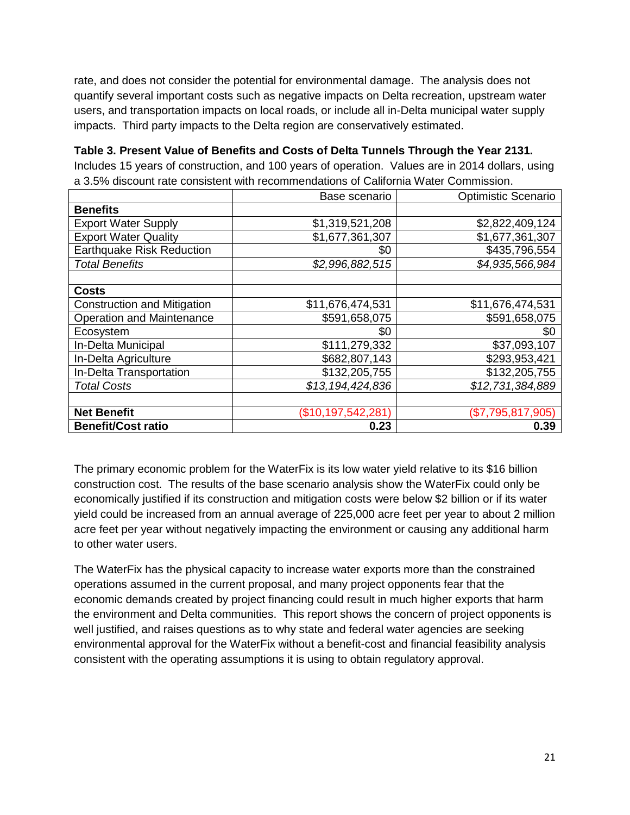rate, and does not consider the potential for environmental damage. The analysis does not quantify several important costs such as negative impacts on Delta recreation, upstream water users, and transportation impacts on local roads, or include all in-Delta municipal water supply impacts. Third party impacts to the Delta region are conservatively estimated.

**Table 3. Present Value of Benefits and Costs of Delta Tunnels Through the Year 2131.**  Includes 15 years of construction, and 100 years of operation. Values are in 2014 dollars, using a 3.5% discount rate consistent with recommendations of California Water Commission.

|                                    | Base scenario      | Optimistic Scenario |
|------------------------------------|--------------------|---------------------|
| <b>Benefits</b>                    |                    |                     |
| <b>Export Water Supply</b>         | \$1,319,521,208    | \$2,822,409,124     |
| <b>Export Water Quality</b>        | \$1,677,361,307    | \$1,677,361,307     |
| <b>Earthquake Risk Reduction</b>   | \$0                | \$435,796,554       |
| <b>Total Benefits</b>              | \$2,996,882,515    | \$4,935,566,984     |
|                                    |                    |                     |
| <b>Costs</b>                       |                    |                     |
| <b>Construction and Mitigation</b> | \$11,676,474,531   | \$11,676,474,531    |
| <b>Operation and Maintenance</b>   | \$591,658,075      | \$591,658,075       |
| Ecosystem                          | \$0                | \$0                 |
| In-Delta Municipal                 | \$111,279,332      | \$37,093,107        |
| In-Delta Agriculture               | \$682,807,143      | \$293,953,421       |
| In-Delta Transportation            | \$132,205,755      | \$132,205,755       |
| <b>Total Costs</b>                 | \$13,194,424,836   | \$12,731,384,889    |
|                                    |                    |                     |
| <b>Net Benefit</b>                 | (\$10,197,542,281) | (\$7,795,817,905)   |
| <b>Benefit/Cost ratio</b>          | 0.23               | 0.39                |

The primary economic problem for the WaterFix is its low water yield relative to its \$16 billion construction cost. The results of the base scenario analysis show the WaterFix could only be economically justified if its construction and mitigation costs were below \$2 billion or if its water yield could be increased from an annual average of 225,000 acre feet per year to about 2 million acre feet per year without negatively impacting the environment or causing any additional harm to other water users.

The WaterFix has the physical capacity to increase water exports more than the constrained operations assumed in the current proposal, and many project opponents fear that the economic demands created by project financing could result in much higher exports that harm the environment and Delta communities. This report shows the concern of project opponents is well justified, and raises questions as to why state and federal water agencies are seeking environmental approval for the WaterFix without a benefit-cost and financial feasibility analysis consistent with the operating assumptions it is using to obtain regulatory approval.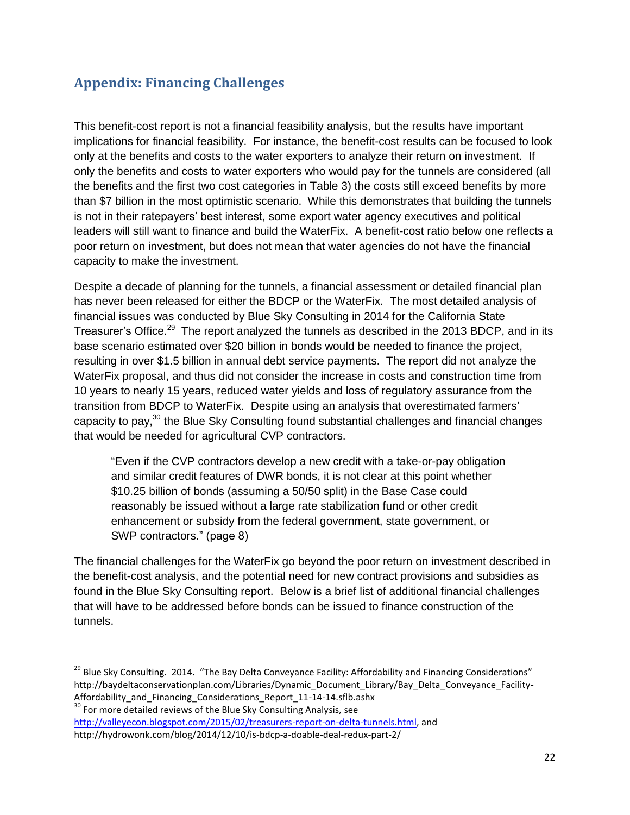## <span id="page-22-0"></span>**Appendix: Financing Challenges**

This benefit-cost report is not a financial feasibility analysis, but the results have important implications for financial feasibility. For instance, the benefit-cost results can be focused to look only at the benefits and costs to the water exporters to analyze their return on investment. If only the benefits and costs to water exporters who would pay for the tunnels are considered (all the benefits and the first two cost categories in Table 3) the costs still exceed benefits by more than \$7 billion in the most optimistic scenario. While this demonstrates that building the tunnels is not in their ratepayers' best interest, some export water agency executives and political leaders will still want to finance and build the WaterFix. A benefit-cost ratio below one reflects a poor return on investment, but does not mean that water agencies do not have the financial capacity to make the investment.

Despite a decade of planning for the tunnels, a financial assessment or detailed financial plan has never been released for either the BDCP or the WaterFix. The most detailed analysis of financial issues was conducted by Blue Sky Consulting in 2014 for the California State Treasurer's Office.<sup>29</sup> The report analyzed the tunnels as described in the 2013 BDCP, and in its base scenario estimated over \$20 billion in bonds would be needed to finance the project, resulting in over \$1.5 billion in annual debt service payments. The report did not analyze the WaterFix proposal, and thus did not consider the increase in costs and construction time from 10 years to nearly 15 years, reduced water yields and loss of regulatory assurance from the transition from BDCP to WaterFix. Despite using an analysis that overestimated farmers' capacity to pay,<sup>30</sup> the Blue Sky Consulting found substantial challenges and financial changes that would be needed for agricultural CVP contractors.

"Even if the CVP contractors develop a new credit with a take-or-pay obligation and similar credit features of DWR bonds, it is not clear at this point whether \$10.25 billion of bonds (assuming a 50/50 split) in the Base Case could reasonably be issued without a large rate stabilization fund or other credit enhancement or subsidy from the federal government, state government, or SWP contractors." (page 8)

The financial challenges for the WaterFix go beyond the poor return on investment described in the benefit-cost analysis, and the potential need for new contract provisions and subsidies as found in the Blue Sky Consulting report. Below is a brief list of additional financial challenges that will have to be addressed before bonds can be issued to finance construction of the tunnels.

<sup>30</sup> For more detailed reviews of the Blue Sky Consulting Analysis, see [http://valleyecon.blogspot.com/2015/02/treasurers-report-on-delta-tunnels.html,](http://valleyecon.blogspot.com/2015/02/treasurers-report-on-delta-tunnels.html) and http://hydrowonk.com/blog/2014/12/10/is-bdcp-a-doable-deal-redux-part-2/

 $\overline{a}$ 

<sup>&</sup>lt;sup>29</sup> Blue Sky Consulting. 2014. "The Bay Delta Conveyance Facility: Affordability and Financing Considerations" http://baydeltaconservationplan.com/Libraries/Dynamic\_Document\_Library/Bay\_Delta\_Conveyance\_Facility-Affordability and Financing Considerations Report 11-14-14.sflb.ashx